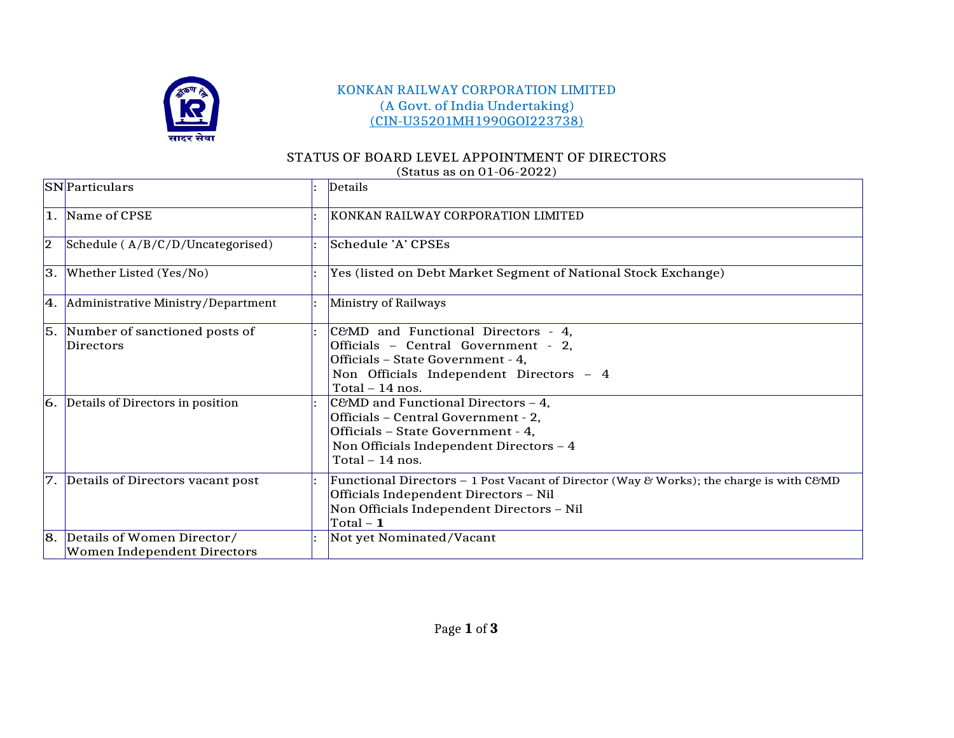

## KONKAN RAILWAY CORPORATION LIMITED (A Govt. of India Undertaking) (CIN-U35201MH1990GOI223738)

## STATUS OF BOARD LEVEL APPOINTMENT OF DIRECTORS

|    | (Status as OII 01-00-2022)                          |  |                                                                                         |  |  |  |  |  |
|----|-----------------------------------------------------|--|-----------------------------------------------------------------------------------------|--|--|--|--|--|
|    | <b>SN</b> Particulars                               |  | Details                                                                                 |  |  |  |  |  |
|    | 1. Name of CPSE                                     |  | KONKAN RAILWAY CORPORATION LIMITED                                                      |  |  |  |  |  |
| 2  | Schedule (A/B/C/D/Uncategorised)                    |  | Schedule 'A' CPSEs                                                                      |  |  |  |  |  |
|    | $ 3. $ Whether Listed (Yes/No)                      |  | Yes (listed on Debt Market Segment of National Stock Exchange)                          |  |  |  |  |  |
|    | $\vert 4. \vert$ Administrative Ministry/Department |  | Ministry of Railways                                                                    |  |  |  |  |  |
|    | 5. Number of sanctioned posts of                    |  | C&MD and Functional Directors - 4,                                                      |  |  |  |  |  |
|    | <b>Directors</b>                                    |  | Officials - Central Government - 2,                                                     |  |  |  |  |  |
|    |                                                     |  | Officials - State Government - 4,                                                       |  |  |  |  |  |
|    |                                                     |  | Non Officials Independent Directors - 4                                                 |  |  |  |  |  |
|    |                                                     |  | Total $-14$ nos.                                                                        |  |  |  |  |  |
|    | $ 6. $ Details of Directors in position             |  | C&MD and Functional Directors - 4,                                                      |  |  |  |  |  |
|    |                                                     |  | Officials - Central Government - 2,                                                     |  |  |  |  |  |
|    |                                                     |  | Officials - State Government - 4,                                                       |  |  |  |  |  |
|    |                                                     |  | Non Officials Independent Directors - 4                                                 |  |  |  |  |  |
|    |                                                     |  | Total $-14$ nos.                                                                        |  |  |  |  |  |
|    | 7. Details of Directors vacant post                 |  | Functional Directors - 1 Post Vacant of Director (Way & Works); the charge is with C&MD |  |  |  |  |  |
|    |                                                     |  | Officials Independent Directors - Nil                                                   |  |  |  |  |  |
|    |                                                     |  | Non Officials Independent Directors - Nil                                               |  |  |  |  |  |
|    |                                                     |  | Total – $\mathbf 1$                                                                     |  |  |  |  |  |
| 8. | Details of Women Director/                          |  | Not yet Nominated/Vacant                                                                |  |  |  |  |  |
|    | Women Independent Directors                         |  |                                                                                         |  |  |  |  |  |

(Status as on 01-06-2022)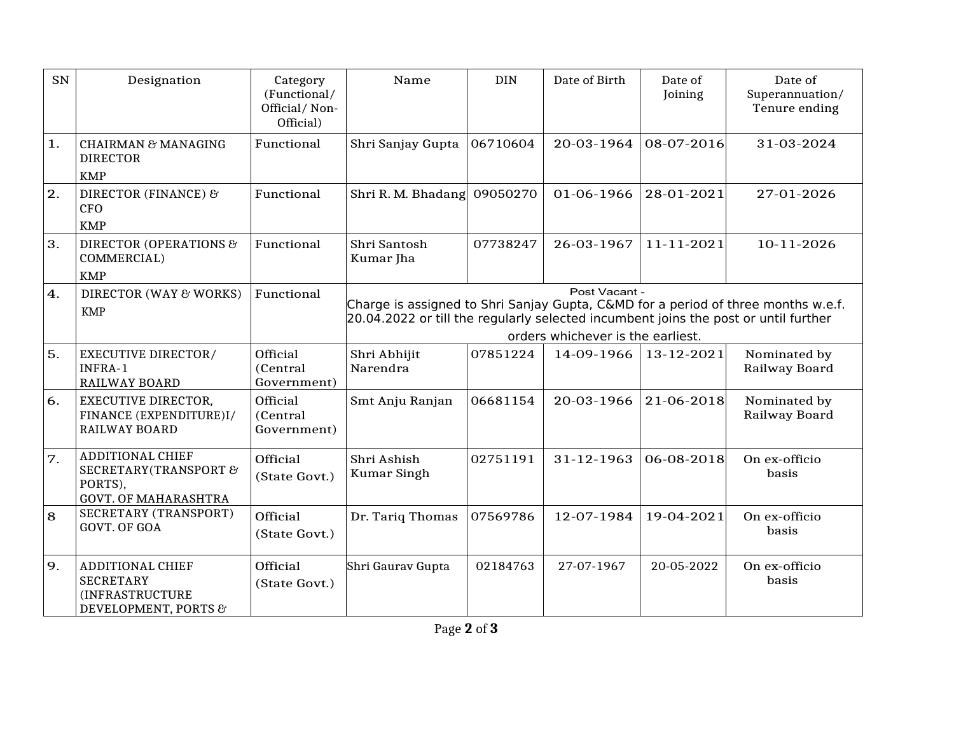| SN | Designation                                                                            | Category<br>(Functional/<br>Official/Non-<br>Official) | Name                                                                                                                                                                                                                           | <b>DIN</b> | Date of Birth | Date of<br>Joining | Date of<br>Superannuation/<br>Tenure ending |  |
|----|----------------------------------------------------------------------------------------|--------------------------------------------------------|--------------------------------------------------------------------------------------------------------------------------------------------------------------------------------------------------------------------------------|------------|---------------|--------------------|---------------------------------------------|--|
| 1. | <b>CHAIRMAN &amp; MANAGING</b><br><b>DIRECTOR</b><br><b>KMP</b>                        | Functional                                             | Shri Sanjay Gupta                                                                                                                                                                                                              | 06710604   | 20-03-1964    | 08-07-2016         | 31-03-2024                                  |  |
| 2. | DIRECTOR (FINANCE) &<br><b>CFO</b><br><b>KMP</b>                                       | Functional                                             | Shri R. M. Bhadang 09050270                                                                                                                                                                                                    |            | 01-06-1966    | 28-01-2021         | 27-01-2026                                  |  |
| 3. | <b>DIRECTOR (OPERATIONS &amp;</b><br>COMMERCIAL)<br><b>KMP</b>                         | Functional                                             | Shri Santosh<br>Kumar Jha                                                                                                                                                                                                      | 07738247   | 26-03-1967    | 11-11-2021         | 10-11-2026                                  |  |
| 4. | DIRECTOR (WAY & WORKS)<br><b>KMP</b>                                                   | Functional                                             | Post Vacant -<br>Charge is assigned to Shri Sanjay Gupta, C&MD for a period of three months w.e.f.<br>20.04.2022 or till the regularly selected incumbent joins the post or until further<br>orders whichever is the earliest. |            |               |                    |                                             |  |
| 5. | <b>EXECUTIVE DIRECTOR/</b><br>INFRA-1<br><b>RAILWAY BOARD</b>                          | Official<br>(Central<br>Government)                    | Shri Abhijit<br>Narendra                                                                                                                                                                                                       | 07851224   | 14-09-1966    | 13-12-2021         | Nominated by<br>Railway Board               |  |
| 6. | <b>EXECUTIVE DIRECTOR,</b><br>FINANCE (EXPENDITURE)I/<br><b>RAILWAY BOARD</b>          | Official<br>(Central)<br>Government)                   | Smt Anju Ranjan                                                                                                                                                                                                                | 06681154   | 20-03-1966    | 21-06-2018         | Nominated by<br>Railway Board               |  |
| 7. | ADDITIONAL CHIEF<br>SECRETARY (TRANSPORT &<br>PORTS),<br><b>GOVT. OF MAHARASHTRA</b>   | Official<br>(State Govt.)                              | Shri Ashish<br>Kumar Singh                                                                                                                                                                                                     | 02751191   | 31-12-1963    | 06-08-2018         | On ex-officio<br>basis                      |  |
| 8  | SECRETARY (TRANSPORT)<br><b>GOVT. OF GOA</b>                                           | Official<br>(State Govt.)                              | Dr. Tariq Thomas                                                                                                                                                                                                               | 07569786   | 12-07-1984    | 19-04-2021         | On ex-officio<br>basis                      |  |
| 9. | <b>ADDITIONAL CHIEF</b><br><b>SECRETARY</b><br>(INFRASTRUCTURE<br>DEVELOPMENT, PORTS & | Official<br>(State Govt.)                              | Shri Gaurav Gupta                                                                                                                                                                                                              | 02184763   | 27-07-1967    | 20-05-2022         | On ex-officio<br>basis                      |  |